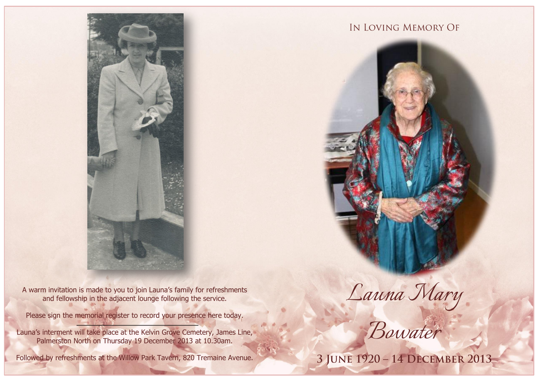

Please sign the memorial register to record your presence here today.

Launa's interment will take place at the Kelvin Grove Cemetery, James Line, Palmerston North on Thursday 19 December 2013 at 10.30am.



*Launa Mary*

*Bowater*